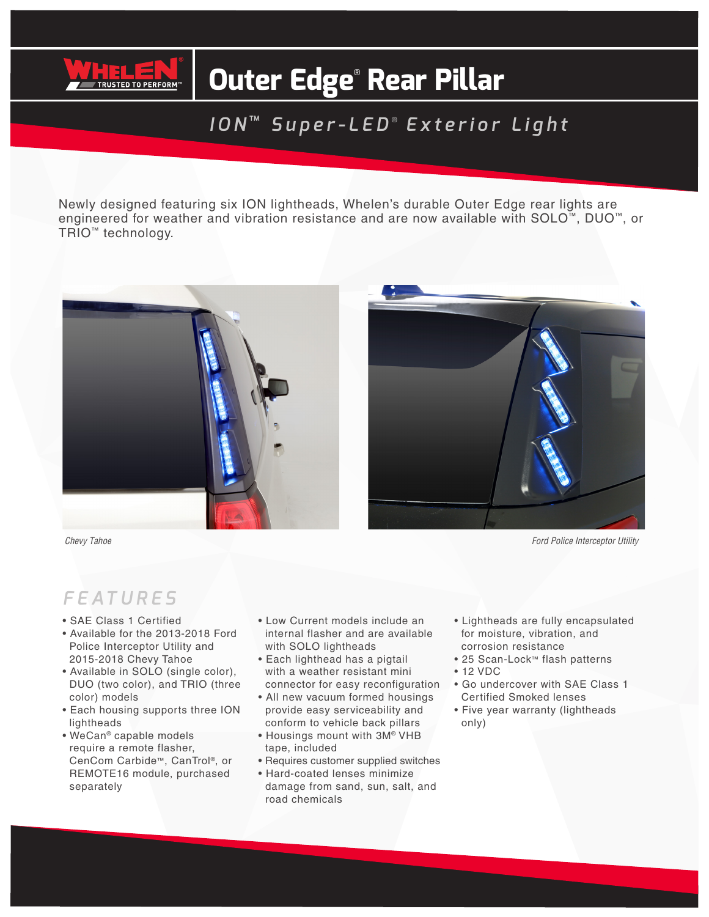

# **Outer Edge**®  **Rear Pillar**

### *ION* ™ *Super-LED* ®  *Exterior Light*

Newly designed featuring six ION lightheads, Whelen's durable Outer Edge rear lights are engineered for weather and vibration resistance and are now available with SOLO™, DUO™, or TRIO™ technology.



#### *FEATURES*

- SAE Class 1 Certified
- Available for the 2013-2018 Ford Police Interceptor Utility and 2015-2018 Chevy Tahoe
- Available in SOLO (single color), DUO (two color), and TRIO (three color) models
- Each housing supports three ION lightheads
- WeCan® capable models require a remote flasher, CenCom Carbide™, CanTrol®, or REMOTE16 module, purchased separately
- Low Current models include an internal flasher and are available with SOLO lightheads
- Each lighthead has a pigtail with a weather resistant mini connector for easy reconfiguration
- All new vacuum formed housings provide easy serviceability and conform to vehicle back pillars
- Housings mount with 3M® VHB tape, included
- Requires customer supplied switches
- Hard-coated lenses minimize damage from sand, sun, salt, and road chemicals
- Lightheads are fully encapsulated for moisture, vibration, and corrosion resistance
- 25 Scan-Lock™ flash patterns
- 12 VDC
- Go undercover with SAE Class 1 Certified Smoked lenses
- Five year warranty (lightheads only)